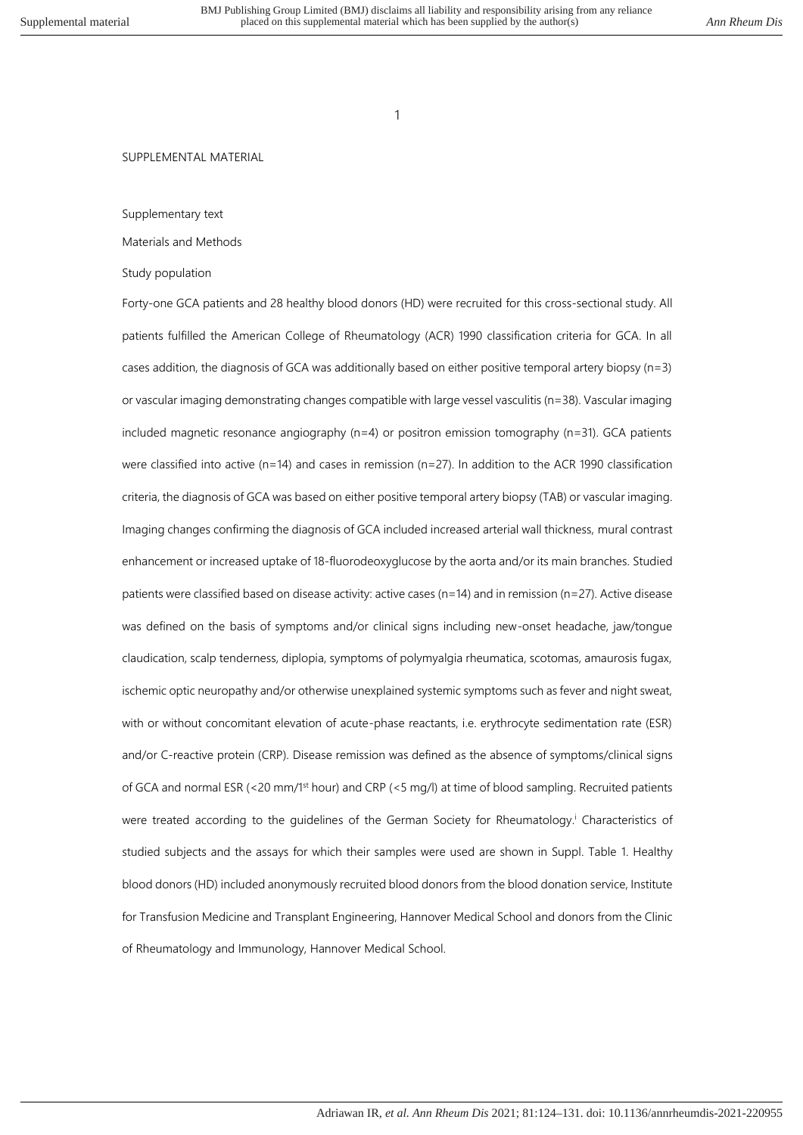#### SUPPLEMENTAL MATERIAL

#### Supplementary text

# Materials and Methods

## Study population

Forty-one GCA patients and 28 healthy blood donors (HD) were recruited for this cross-sectional study. All patients fulfilled the American College of Rheumatology (ACR) 1990 classification criteria for GCA. In all cases addition, the diagnosis of GCA was additionally based on either positive temporal artery biopsy (n=3) or vascular imaging demonstrating changes compatible with large vessel vasculitis (n=38). Vascular imaging included magnetic resonance angiography (n=4) or positron emission tomography (n=31). GCA patients were classified into active (n=14) and cases in remission (n=27). In addition to the ACR 1990 classification criteria, the diagnosis of GCA was based on either positive temporal artery biopsy (TAB) or vascular imaging. Imaging changes confirming the diagnosis of GCA included increased arterial wall thickness, mural contrast enhancement or increased uptake of 18-fluorodeoxyglucose by the aorta and/or its main branches. Studied patients were classified based on disease activity: active cases (n=14) and in remission (n=27). Active disease was defined on the basis of symptoms and/or clinical signs including new-onset headache, jaw/tongue claudication, scalp tenderness, diplopia, symptoms of polymyalgia rheumatica, scotomas, amaurosis fugax, ischemic optic neuropathy and/or otherwise unexplained systemic symptoms such as fever and night sweat, with or without concomitant elevation of acute-phase reactants, i.e. erythrocyte sedimentation rate (ESR) and/or C-reactive protein (CRP). Disease remission was defined as the absence of symptoms/clinical signs of GCA and normal ESR (<20 mm/1st hour) and CRP (<5 mg/l) at time of blood sampling. Recruited patients were treated according to the guidelines of the German Society for Rheumatology.<sup>i</sup> Characteristics of studied subjects and the assays for which their samples were used are shown in Suppl. Table 1. Healthy blood donors (HD) included anonymously recruited blood donors from the blood donation service, Institute for Transfusion Medicine and Transplant Engineering, Hannover Medical School and donors from the Clinic of Rheumatology and Immunology, Hannover Medical School.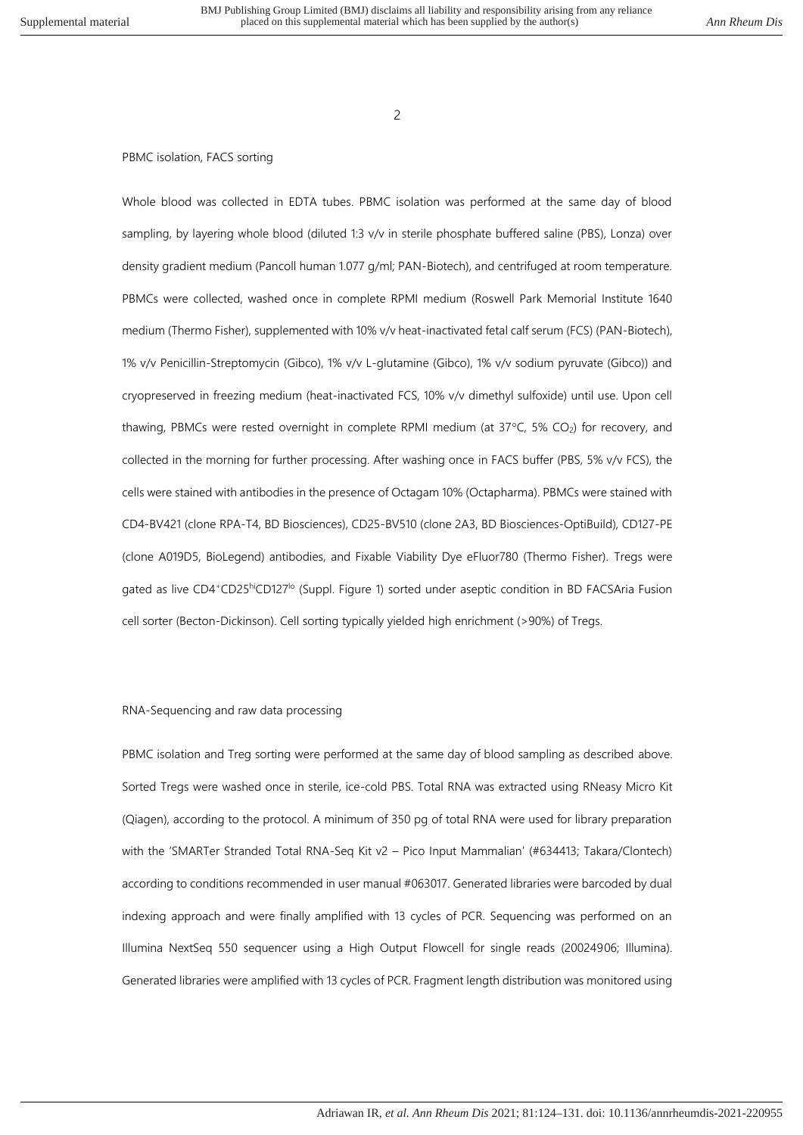$\overline{2}$ 

#### PBMC isolation, FACS sorting

Whole blood was collected in EDTA tubes. PBMC isolation was performed at the same day of blood sampling, by layering whole blood (diluted 1:3 v/v in sterile phosphate buffered saline (PBS), Lonza) over density gradient medium (Pancoll human 1.077 g/ml; PAN-Biotech), and centrifuged at room temperature. PBMCs were collected, washed once in complete RPMI medium (Roswell Park Memorial Institute 1640 medium (Thermo Fisher), supplemented with 10% v/v heat-inactivated fetal calf serum (FCS) (PAN-Biotech), 1% v/v Penicillin-Streptomycin (Gibco), 1% v/v L-glutamine (Gibco), 1% v/v sodium pyruvate (Gibco)) and cryopreserved in freezing medium (heat-inactivated FCS, 10% v/v dimethyl sulfoxide) until use. Upon cell thawing, PBMCs were rested overnight in complete RPMI medium (at 37°C, 5% CO<sub>2</sub>) for recovery, and collected in the morning for further processing. After washing once in FACS buffer (PBS, 5% v/v FCS), the cells were stained with antibodies in the presence of Octagam 10% (Octapharma). PBMCs were stained with CD4-BV421 (clone RPA-T4, BD Biosciences), CD25-BV510 (clone 2A3, BD Biosciences-OptiBuild), CD127-PE (clone A019D5, BioLegend) antibodies, and Fixable Viability Dye eFluor780 (Thermo Fisher). Tregs were gated as live CD4+CD25hiCD127<sup>lo</sup> (Suppl. Figure 1) sorted under aseptic condition in BD FACSAria Fusion cell sorter (Becton-Dickinson). Cell sorting typically yielded high enrichment (>90%) of Tregs.

### RNA-Sequencing and raw data processing

PBMC isolation and Treg sorting were performed at the same day of blood sampling as described above. Sorted Tregs were washed once in sterile, ice-cold PBS. Total RNA was extracted using RNeasy Micro Kit (Qiagen), according to the protocol. A minimum of 350 pg of total RNA were used for library preparation with the 'SMARTer Stranded Total RNA-Seq Kit v2 – Pico Input Mammalian' (#634413; Takara/Clontech) according to conditions recommended in user manual #063017. Generated libraries were barcoded by dual indexing approach and were finally amplified with 13 cycles of PCR. Sequencing was performed on an Illumina NextSeq 550 sequencer using a High Output Flowcell for single reads (20024906; Illumina). Generated libraries were amplified with 13 cycles of PCR. Fragment length distribution was monitored using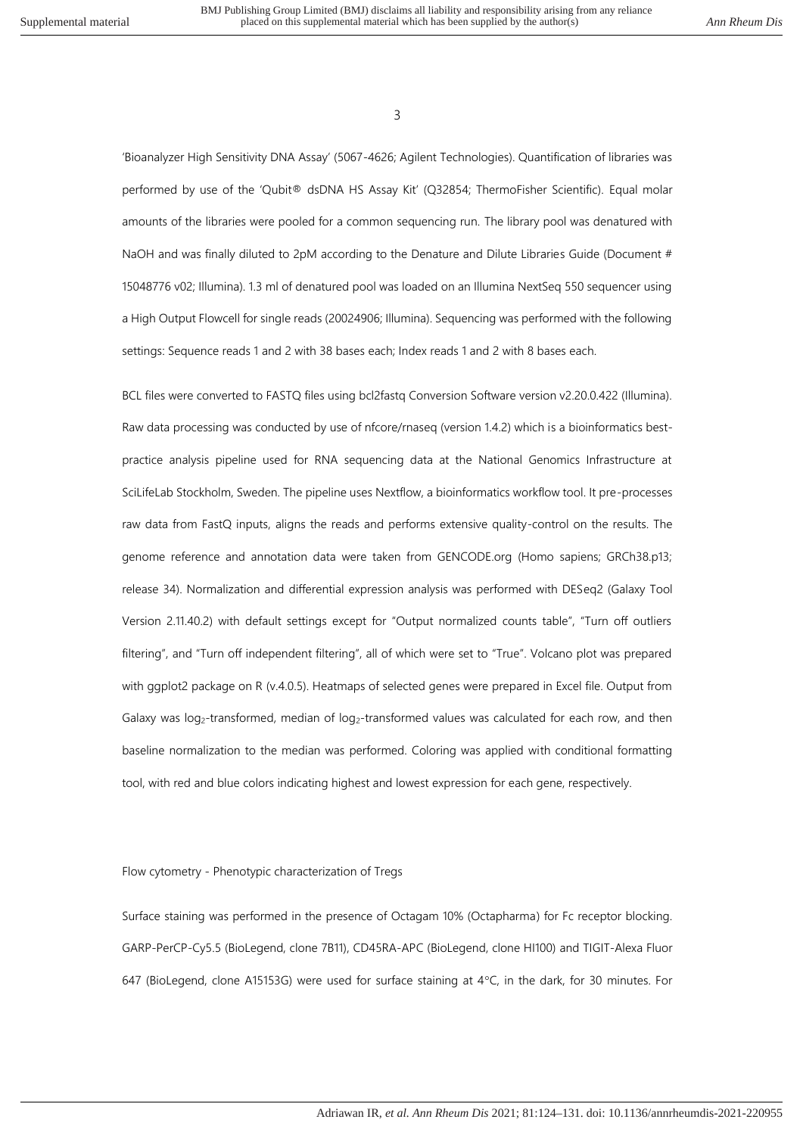'Bioanalyzer High Sensitivity DNA Assay' (5067-4626; Agilent Technologies). Quantification of libraries was performed by use of the 'Qubit® dsDNA HS Assay Kit' (Q32854; ThermoFisher Scientific). Equal molar amounts of the libraries were pooled for a common sequencing run. The library pool was denatured with NaOH and was finally diluted to 2pM according to the Denature and Dilute Libraries Guide (Document # 15048776 v02; Illumina). 1.3 ml of denatured pool was loaded on an Illumina NextSeq 550 sequencer using a High Output Flowcell for single reads (20024906; Illumina). Sequencing was performed with the following settings: Sequence reads 1 and 2 with 38 bases each; Index reads 1 and 2 with 8 bases each.

BCL files were converted to FASTQ files using bcl2fastq Conversion Software version v2.20.0.422 (Illumina). Raw data processing was conducted by use of nfcore/rnaseq (version 1.4.2) which is a bioinformatics bestpractice analysis pipeline used for RNA sequencing data at the National Genomics Infrastructure at SciLifeLab Stockholm, Sweden. The pipeline uses Nextflow, a bioinformatics workflow tool. It pre-processes raw data from FastQ inputs, aligns the reads and performs extensive quality-control on the results. The genome reference and annotation data were taken from GENCODE.org (Homo sapiens; GRCh38.p13; release 34). Normalization and differential expression analysis was performed with DESeq2 (Galaxy Tool Version 2.11.40.2) with default settings except for "Output normalized counts table", "Turn off outliers filtering", and "Turn off independent filtering", all of which were set to "True". Volcano plot was prepared with ggplot2 package on R (v.4.0.5). Heatmaps of selected genes were prepared in Excel file. Output from Galaxy was log<sub>2</sub>-transformed, median of log<sub>2</sub>-transformed values was calculated for each row, and then baseline normalization to the median was performed. Coloring was applied with conditional formatting tool, with red and blue colors indicating highest and lowest expression for each gene, respectively.

### Flow cytometry - Phenotypic characterization of Tregs

Surface staining was performed in the presence of Octagam 10% (Octapharma) for Fc receptor blocking. GARP-PerCP-Cy5.5 (BioLegend, clone 7B11), CD45RA-APC (BioLegend, clone HI100) and TIGIT-Alexa Fluor 647 (BioLegend, clone A15153G) were used for surface staining at  $4^{\circ}$ C, in the dark, for 30 minutes. For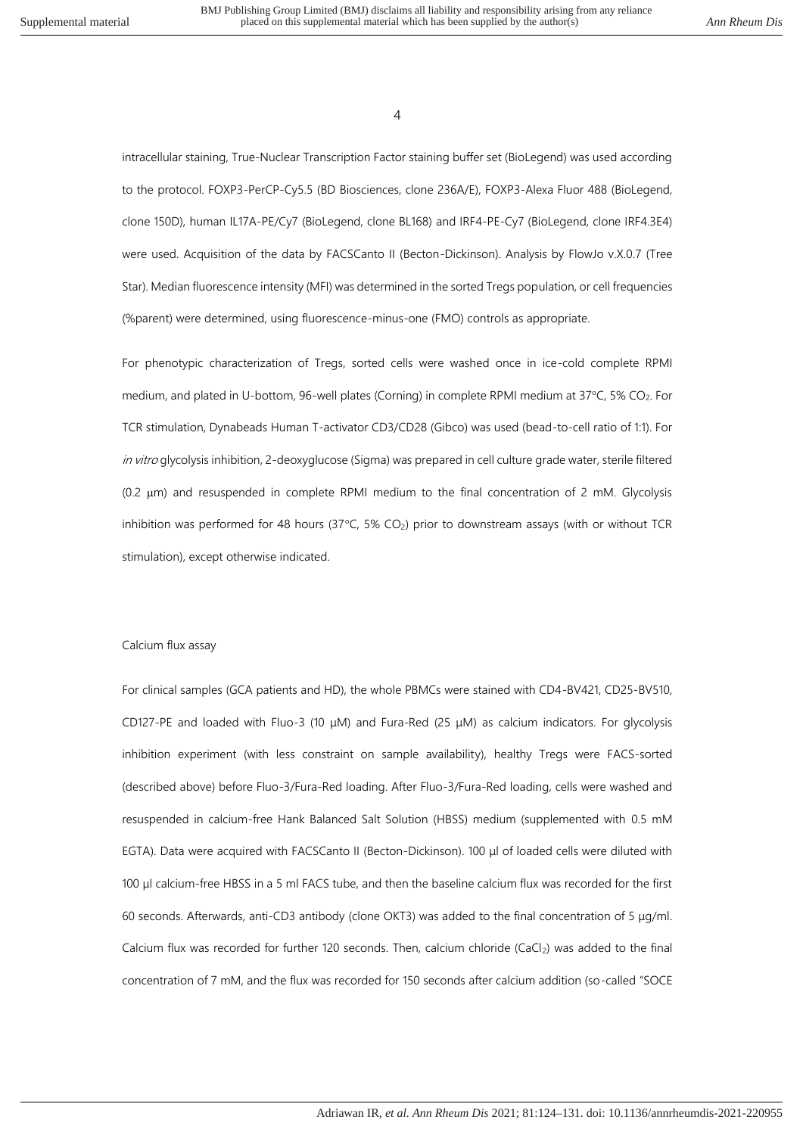intracellular staining, True-Nuclear Transcription Factor staining buffer set (BioLegend) was used according to the protocol. FOXP3-PerCP-Cy5.5 (BD Biosciences, clone 236A/E), FOXP3-Alexa Fluor 488 (BioLegend, clone 150D), human IL17A-PE/Cy7 (BioLegend, clone BL168) and IRF4-PE-Cy7 (BioLegend, clone IRF4.3E4) were used. Acquisition of the data by FACSCanto II (Becton-Dickinson). Analysis by FlowJo v.X.0.7 (Tree Star). Median fluorescence intensity (MFI) was determined in the sorted Tregs population, or cell frequencies (%parent) were determined, using fluorescence-minus-one (FMO) controls as appropriate.

For phenotypic characterization of Tregs, sorted cells were washed once in ice-cold complete RPMI medium, and plated in U-bottom, 96-well plates (Corning) in complete RPMI medium at 37°C, 5% CO<sub>2</sub>. For TCR stimulation, Dynabeads Human T-activator CD3/CD28 (Gibco) was used (bead-to-cell ratio of 1:1). For in vitro glycolysis inhibition, 2-deoxyglucose (Sigma) was prepared in cell culture grade water, sterile filtered  $(0.2 \mu m)$  and resuspended in complete RPMI medium to the final concentration of 2 mM. Glycolysis inhibition was performed for 48 hours (37 $\degree$ C, 5% CO<sub>2</sub>) prior to downstream assays (with or without TCR stimulation), except otherwise indicated.

### Calcium flux assay

For clinical samples (GCA patients and HD), the whole PBMCs were stained with CD4-BV421, CD25-BV510, CD127-PE and loaded with Fluo-3 (10 μM) and Fura-Red (25 μM) as calcium indicators. For glycolysis inhibition experiment (with less constraint on sample availability), healthy Tregs were FACS-sorted (described above) before Fluo-3/Fura-Red loading. After Fluo-3/Fura-Red loading, cells were washed and resuspended in calcium-free Hank Balanced Salt Solution (HBSS) medium (supplemented with 0.5 mM EGTA). Data were acquired with FACSCanto II (Becton-Dickinson). 100 μl of loaded cells were diluted with 100 μl calcium-free HBSS in a 5 ml FACS tube, and then the baseline calcium flux was recorded for the first 60 seconds. Afterwards, anti-CD3 antibody (clone OKT3) was added to the final concentration of 5 μg/ml. Calcium flux was recorded for further 120 seconds. Then, calcium chloride (CaCl<sub>2</sub>) was added to the final concentration of 7 mM, and the flux was recorded for 150 seconds after calcium addition (so-called "SOCE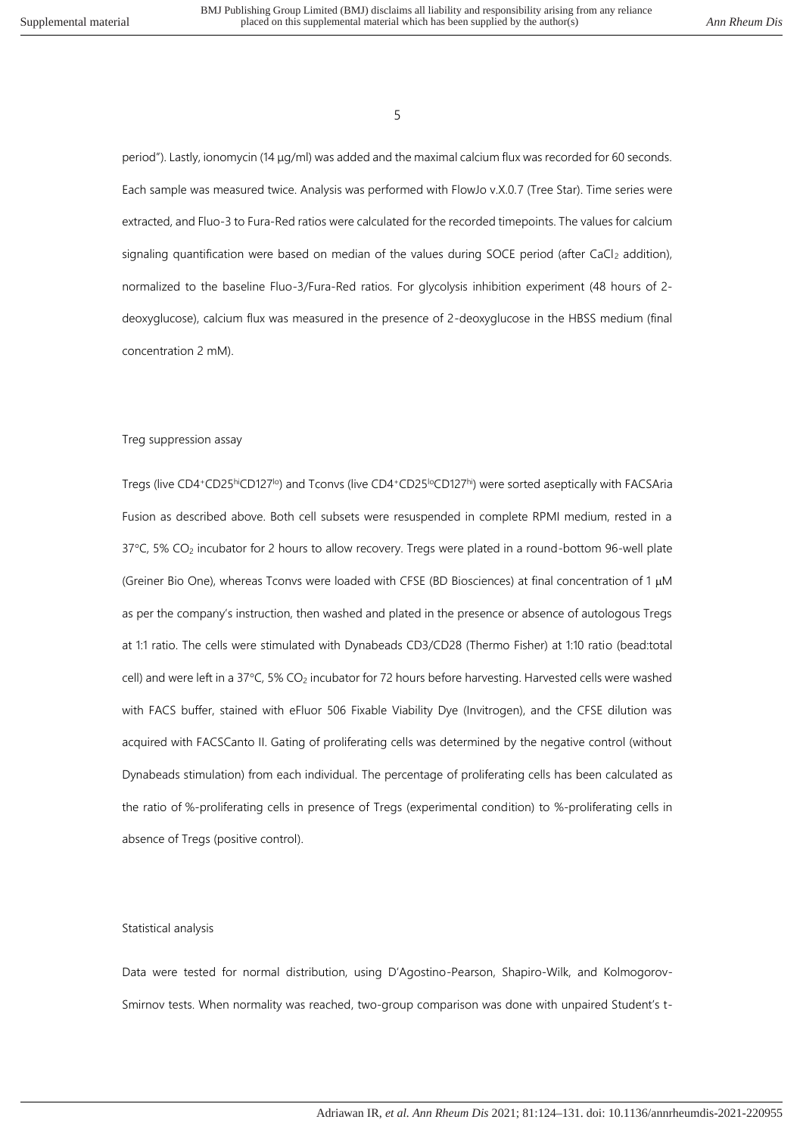period"). Lastly, ionomycin (14 μg/ml) was added and the maximal calcium flux was recorded for 60 seconds. Each sample was measured twice. Analysis was performed with FlowJo v.X.0.7 (Tree Star). Time series were extracted, and Fluo-3 to Fura-Red ratios were calculated for the recorded timepoints. The values for calcium signaling quantification were based on median of the values during SOCE period (after CaCl2 addition), normalized to the baseline Fluo-3/Fura-Red ratios. For glycolysis inhibition experiment (48 hours of 2 deoxyglucose), calcium flux was measured in the presence of 2-deoxyglucose in the HBSS medium (final concentration 2 mM).

### Treg suppression assay

Tregs (live CD4+CD25hiCD127<sup>lo</sup>) and Tconvs (live CD4+CD25<sup>lo</sup>CD127hi) were sorted aseptically with FACSAria Fusion as described above. Both cell subsets were resuspended in complete RPMI medium, rested in a 37°C, 5% CO<sub>2</sub> incubator for 2 hours to allow recovery. Tregs were plated in a round-bottom 96-well plate (Greiner Bio One), whereas Tconvs were loaded with CFSE (BD Biosciences) at final concentration of 1  $\mu$ M as per the company's instruction, then washed and plated in the presence or absence of autologous Tregs at 1:1 ratio. The cells were stimulated with Dynabeads CD3/CD28 (Thermo Fisher) at 1:10 ratio (bead:total cell) and were left in a 37°C, 5% CO<sub>2</sub> incubator for 72 hours before harvesting. Harvested cells were washed with FACS buffer, stained with eFluor 506 Fixable Viability Dye (Invitrogen), and the CFSE dilution was acquired with FACSCanto II. Gating of proliferating cells was determined by the negative control (without Dynabeads stimulation) from each individual. The percentage of proliferating cells has been calculated as the ratio of %-proliferating cells in presence of Tregs (experimental condition) to %-proliferating cells in absence of Tregs (positive control).

# Statistical analysis

Data were tested for normal distribution, using D'Agostino-Pearson, Shapiro-Wilk, and Kolmogorov-Smirnov tests. When normality was reached, two-group comparison was done with unpaired Student's t-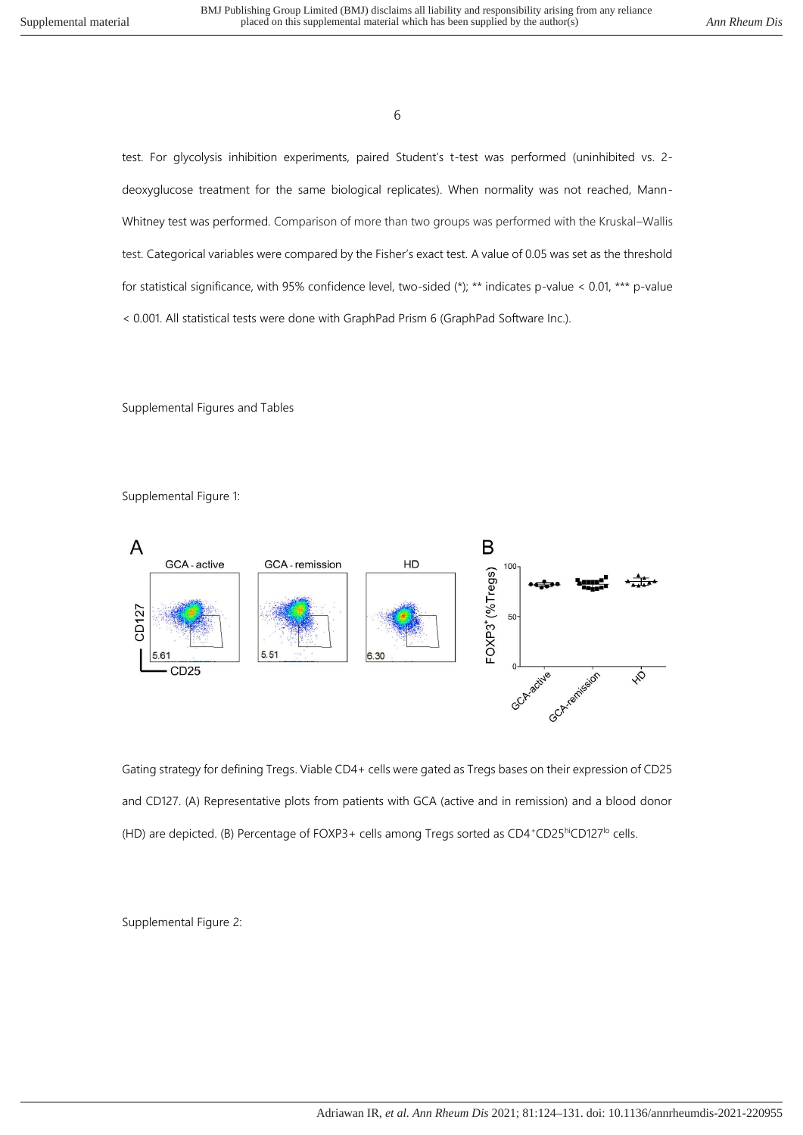test. For glycolysis inhibition experiments, paired Student's t-test was performed (uninhibited vs. 2 deoxyglucose treatment for the same biological replicates). When normality was not reached, Mann-Whitney test was performed. Comparison of more than two groups was performed with the Kruskal–Wallis test. Categorical variables were compared by the Fisher's exact test. A value of 0.05 was set as the threshold for statistical significance, with 95% confidence level, two-sided (\*); \*\* indicates p-value < 0.01, \*\*\* p-value < 0.001. All statistical tests were done with GraphPad Prism 6 (GraphPad Software Inc.).

Supplemental Figures and Tables

Supplemental Figure 1:



Gating strategy for defining Tregs. Viable CD4+ cells were gated as Tregs bases on their expression of CD25 and CD127. (A) Representative plots from patients with GCA (active and in remission) and a blood donor (HD) are depicted. (B) Percentage of FOXP3+ cells among Tregs sorted as CD4+CD25hiCD127<sup>lo</sup> cells.

Supplemental Figure 2: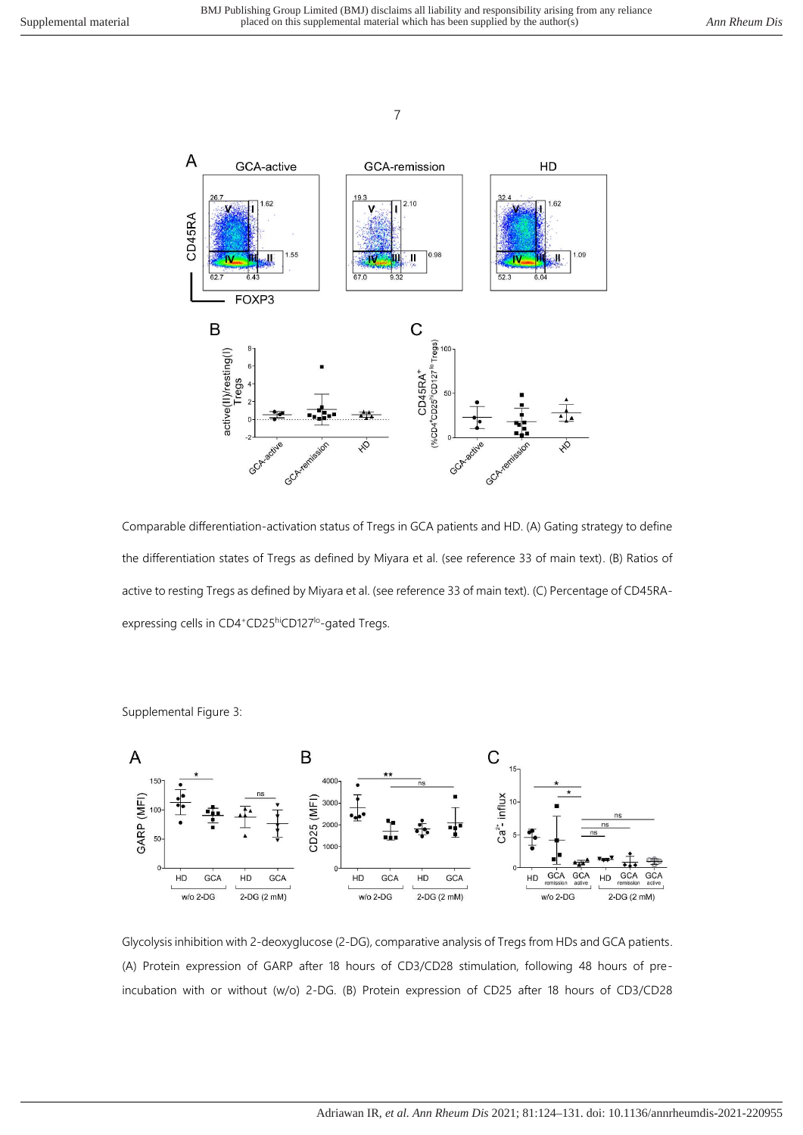

Comparable differentiation-activation status of Tregs in GCA patients and HD. (A) Gating strategy to define the differentiation states of Tregs as defined by Miyara et al. (see reference 33 of main text). (B) Ratios of active to resting Tregs as defined by Miyara et al. (see reference 33 of main text). (C) Percentage of CD45RAexpressing cells in CD4+CD25hiCD127<sup>lo</sup>-gated Tregs.



Supplemental Figure 3:

Glycolysis inhibition with 2-deoxyglucose (2-DG), comparative analysis of Tregs from HDs and GCA patients. (A) Protein expression of GARP after 18 hours of CD3/CD28 stimulation, following 48 hours of preincubation with or without (w/o) 2-DG. (B) Protein expression of CD25 after 18 hours of CD3/CD28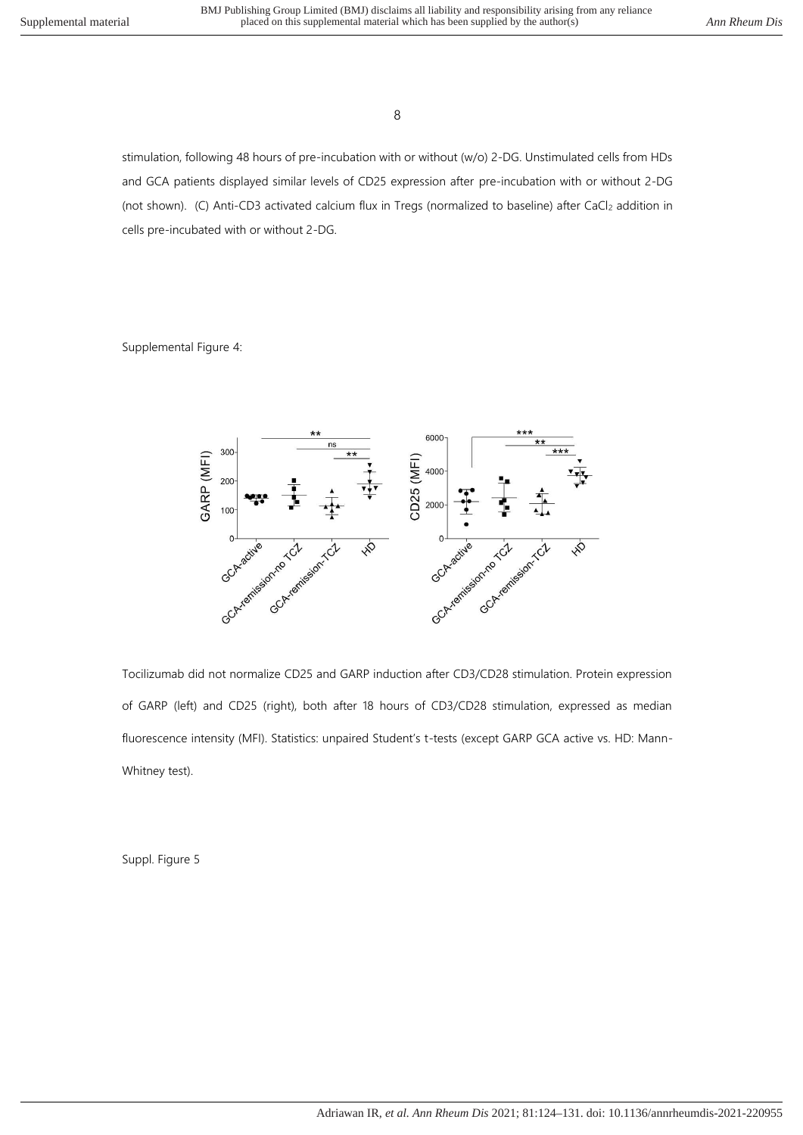stimulation, following 48 hours of pre-incubation with or without (w/o) 2-DG. Unstimulated cells from HDs and GCA patients displayed similar levels of CD25 expression after pre-incubation with or without 2-DG (not shown). (C) Anti-CD3 activated calcium flux in Tregs (normalized to baseline) after CaCl<sub>2</sub> addition in cells pre-incubated with or without 2-DG.

Supplemental Figure 4:



Tocilizumab did not normalize CD25 and GARP induction after CD3/CD28 stimulation. Protein expression of GARP (left) and CD25 (right), both after 18 hours of CD3/CD28 stimulation, expressed as median fluorescence intensity (MFI). Statistics: unpaired Student's t-tests (except GARP GCA active vs. HD: Mann-Whitney test).

Suppl. Figure 5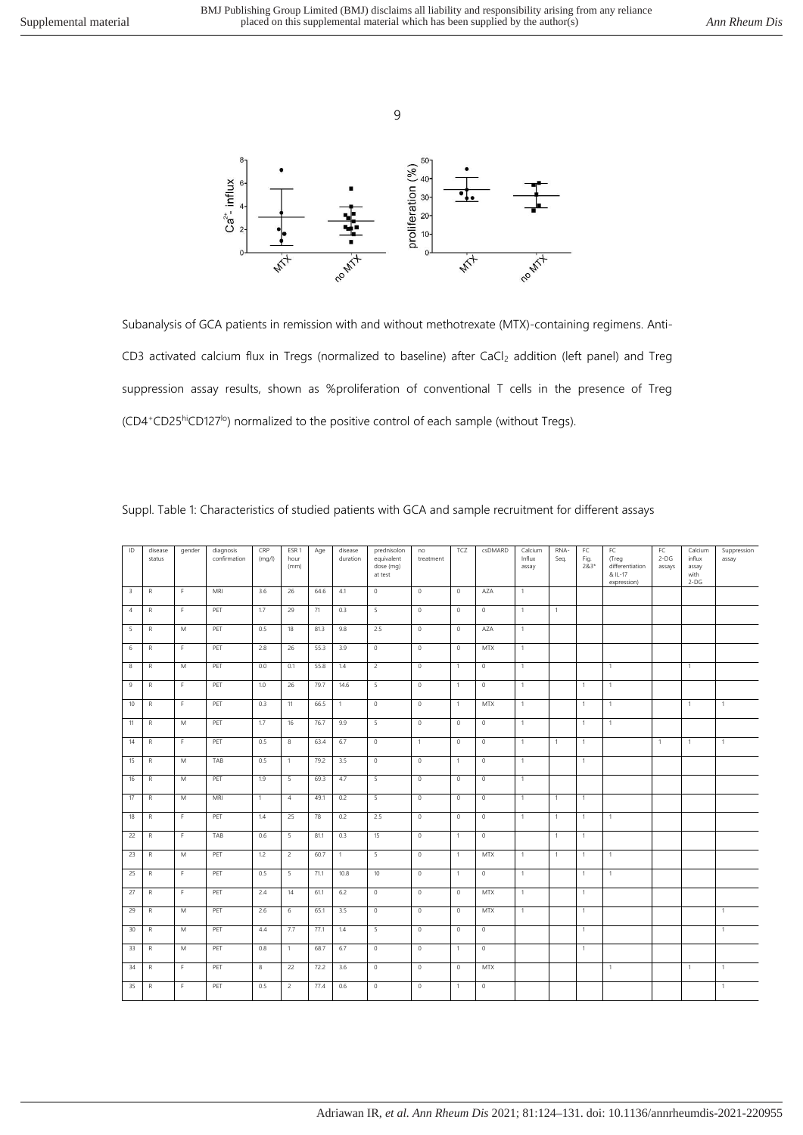

Subanalysis of GCA patients in remission with and without methotrexate (MTX)-containing regimens. Anti-CD3 activated calcium flux in Tregs (normalized to baseline) after CaCl<sub>2</sub> addition (left panel) and Treg suppression assay results, shown as %proliferation of conventional T cells in the presence of Treg (CD4<sup>+</sup>CD25hiCD127lo) normalized to the positive control of each sample (without Tregs).

| ID                      | disease<br>status | gender      | diagnosis<br>confirmation | CRP<br>(mq/l) | ESR <sub>1</sub><br>hour<br>(mm) | Age  | disease<br>duration | prednisolon<br>equivalent<br>dose (mg)<br>at test | no<br>treatment | TCZ            | csDMARD        | Calcium<br>Influx<br>assay | RNA-<br>Seq. | FC<br>Fig.<br>$283*$ | FC<br>(Treg<br>differentiation<br>& IL-17<br>expression) | FC<br>$2-DG$<br>assays | Calcium<br>influx<br>assay<br>with<br>$2-DG$ | Suppression<br>assay |
|-------------------------|-------------------|-------------|---------------------------|---------------|----------------------------------|------|---------------------|---------------------------------------------------|-----------------|----------------|----------------|----------------------------|--------------|----------------------|----------------------------------------------------------|------------------------|----------------------------------------------|----------------------|
| $\overline{\mathbf{3}}$ | ${\mathsf R}$     | F.          | MRI                       | 3.6           | 26                               | 64.6 | 4.1                 | $\mathbb O$                                       | $\circ$         | $\circ$        | AZA            | $\mathbf{1}$               |              |                      |                                                          |                        |                                              |                      |
| $\overline{4}$          | ${\mathsf R}$     | F           | PET                       | 1.7           | 29                               | 71   | 0.3                 | $\overline{\mathbf{5}}$                           | $\mathbb O$     | $\circ$        | $\mathbb O$    | $\mathbf{1}$               | $\mathbf{1}$ |                      |                                                          |                        |                                              |                      |
| 5                       | ${\mathsf R}$     | M           | PET                       | 0.5           | 18                               | 81.3 | 9.8                 | 2.5                                               | $\overline{0}$  | $\overline{0}$ | AZA            | $\overline{1}$             |              |                      |                                                          |                        |                                              |                      |
| 6                       | ${\sf R}$         | F           | PET                       | 2.8           | 26                               | 55.3 | 3.9                 | $\overline{0}$                                    | $\overline{0}$  | $\overline{0}$ | <b>MTX</b>     | $\overline{1}$             |              |                      |                                                          |                        |                                              |                      |
| 8                       | ${\mathsf R}$     | M           | PET                       | 0.0           | 0.1                              | 55.8 | 1.4                 | $\overline{2}$                                    | $\mathbb O$     | $\mathbf{1}$   | $\mathbb O$    | $\overline{1}$             |              |                      | $\mathbf{1}$                                             |                        | $\overline{1}$                               |                      |
| $\overline{9}$          | ${\mathsf R}$     | $\mathsf F$ | PET                       | 1.0           | 26                               | 79.7 | 14.6                | $\overline{5}$                                    | $\mathbb O$     | $\mathbf{1}$   | $\mathbb O$    | $\overline{1}$             |              | $\overline{1}$       | $\mathbf{1}$                                             |                        |                                              |                      |
| 10                      | ${\mathsf R}$     | F           | PET                       | 0.3           | 11                               | 66.5 | $\mathbf{1}$        | $\mathbb O$                                       | $\mathbb O$     | $\mathbf{1}$   | <b>MTX</b>     | $\overline{1}$             |              | $\overline{1}$       | $\mathbf{1}$                                             |                        | $\overline{1}$                               | $\mathbf{1}$         |
| 11                      | R                 | M           | PET                       | 1.7           | 16                               | 76.7 | 9.9                 | 5                                                 | $\mathbb O$     | $\mathbb O$    | $\mathbb O$    | $\overline{1}$             |              | $\overline{1}$       | $\mathbf{1}$                                             |                        |                                              |                      |
| 14                      | ${\mathsf R}$     | F           | PET                       | 0.5           | 8                                | 63.4 | 6.7                 | $\overline{0}$                                    | $\mathbf{1}$    | $\circ$        | $\mathbb O$    | $\overline{1}$             | $\mathbf{1}$ | $\overline{1}$       |                                                          | $\mathbf{1}$           | $\overline{1}$                               | $\mathbf{1}$         |
| 15                      | R                 | M           | TAB                       | 0.5           | $\overline{1}$                   | 79.2 | 3.5                 | $\mathbb O$                                       | $\mathbb O$     | $\mathbf{1}$   | $\mathbb O$    | $\overline{1}$             |              | $\overline{1}$       |                                                          |                        |                                              |                      |
| 16                      | ${\mathsf R}$     | M           | PET                       | 1.9           | $\overline{5}$                   | 69.3 | 4.7                 | 5                                                 | $\mathbb O$     | $\circ$        | $\mathbb O$    | $\overline{1}$             |              |                      |                                                          |                        |                                              |                      |
| 17                      | ${\mathsf R}$     | M           | MRI                       | $\mathbf{1}$  | $\overline{4}$                   | 49.1 | 0.2                 | 5                                                 | $\overline{0}$  | $\overline{0}$ | $\overline{0}$ | $\overline{1}$             | $\mathbf{1}$ | $\overline{1}$       |                                                          |                        |                                              |                      |
| 18                      | ${\mathsf R}$     | F           | PET                       | 1.4           | 25                               | 78   | 0.2                 | 2.5                                               | $\mathbb O$     | $\mathbb O$    | $\mathbb O$    | $\mathbf{1}$               | $\mathbf{1}$ | $\overline{1}$       | $\mathbf{1}$                                             |                        |                                              |                      |
| 22                      | ${\sf R}$         | $\mathsf F$ | TAB                       | 0.6           | 5                                | 81.1 | 0.3                 | 15                                                | $\overline{0}$  | $\mathbf{1}$   | $\overline{0}$ |                            | $\mathbf{1}$ | $\overline{1}$       |                                                          |                        |                                              |                      |
| 23                      | ${\mathsf R}$     | M           | PET                       | 1.2           | $\overline{2}$                   | 60.7 | $\mathbf{1}$        | 5                                                 | $\mathbb O$     | $\mathbf{1}$   | MTX            | $\overline{1}$             | $\mathbf{1}$ | $\overline{1}$       | $\mathbf{1}$                                             |                        |                                              |                      |
| 25                      | ${\mathsf R}$     | F           | PET                       | 0.5           | 5                                | 71.1 | 10.8                | 10                                                | $\overline{0}$  | $\mathbf{1}$   | $\overline{0}$ | $\overline{1}$             |              | $\overline{1}$       | $\mathbf{1}$                                             |                        |                                              |                      |
| 27                      | ${\mathsf R}$     | Ŧ           | PET                       | 2.4           | 14                               | 61.1 | 6.2                 | $\overline{0}$                                    | $\overline{0}$  | $\overline{0}$ | <b>MTX</b>     | $\overline{1}$             |              | $\overline{1}$       |                                                          |                        |                                              |                      |
| 29                      | $\overline{R}$    | M           | PET                       | 2.6           | 6                                | 65.1 | 3.5                 | $\overline{0}$                                    | $\overline{0}$  | $\overline{0}$ | <b>MTX</b>     | $\overline{1}$             |              | $\overline{1}$       |                                                          |                        |                                              | $\mathbf{1}$         |
| 30                      | ${\mathsf R}$     | M           | PET                       | 4.4           | 7.7                              | 77.1 | 1.4                 | 5                                                 | $\mathbb O$     | $\mathbb O$    | $\mathbb O$    |                            |              | $\overline{1}$       |                                                          |                        |                                              | $\overline{1}$       |
| 33                      | ${\mathsf R}$     | M           | PET                       | 0.8           | $\mathbf{1}$                     | 68.7 | 6.7                 | $\mathbb O$                                       | $\mathbb O$     | $\mathbf{1}$   | $\mathbb O$    |                            |              | $\mathbf{1}$         |                                                          |                        |                                              |                      |
| 34                      | ${\sf R}$         | $\mathsf F$ | PET                       | $\bf 8$       | 22                               | 72.2 | 3.6                 | $\overline{0}$                                    | $\mathbb O$     | $\mathbb O$    | MTX            |                            |              |                      | $\mathbf{1}$                                             |                        | $\overline{1}$                               | $\mathbf{1}$         |
| 35                      | R                 | F           | PET                       | 0.5           | $\overline{2}$                   | 77.4 | 0.6                 | $\overline{0}$                                    | $\mathbb O$     | $\mathbf{1}$   | $\overline{0}$ |                            |              |                      |                                                          |                        |                                              | $\mathbf{1}$         |

|  |  |  |  | Suppl. Table 1: Characteristics of studied patients with GCA and sample recruitment for different assays |
|--|--|--|--|----------------------------------------------------------------------------------------------------------|
|  |  |  |  |                                                                                                          |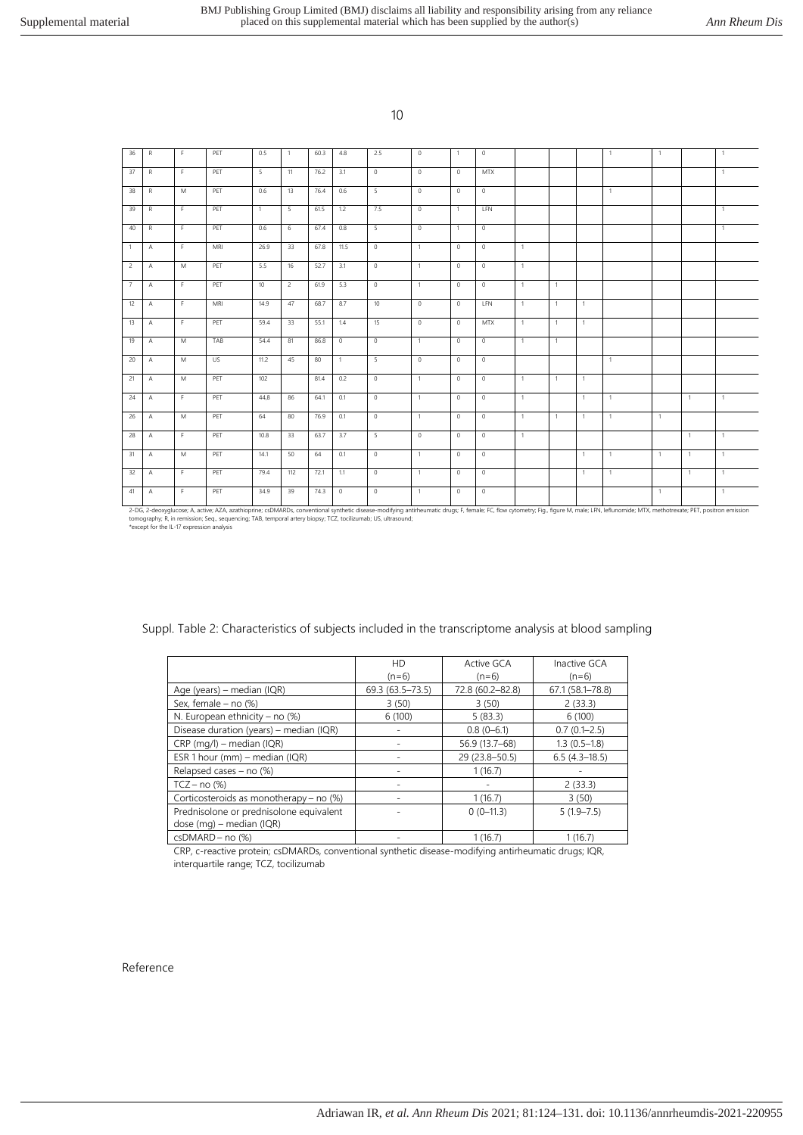| 36             | R              | F. | PET | 0.5            | $\mathbf{1}$   | 60.3 | 4.8            | 2.5     | $\circ$        | $\overline{1}$ | $\circ$    |                |                |              | $\mathbf{1}$ | 1              |                | $\overline{1}$ |
|----------------|----------------|----|-----|----------------|----------------|------|----------------|---------|----------------|----------------|------------|----------------|----------------|--------------|--------------|----------------|----------------|----------------|
| 37             | $\mathsf{R}$   | F. | PET | 5              | 11             | 76.2 | 3.1            | $\circ$ | $\circ$        | $\circ$        | <b>MTX</b> |                |                |              |              |                |                | $\overline{1}$ |
| 38             | R              | M  | PET | 0.6            | 13             | 76.4 | 0.6            | 5       | $\circ$        | $\circ$        | $\circ$    |                |                |              | $\mathbf{1}$ |                |                |                |
| 39             | R.             | F. | PET | $\overline{1}$ | 5              | 61.5 | 1.2            | 7.5     | $\circ$        | $\overline{1}$ | LFN        |                |                |              |              |                |                | $\overline{1}$ |
| 40             | R              | F. | PET | 0.6            | 6              | 67.4 | 0.8            | $5 -$   | $\circ$        | $\overline{1}$ | $\circ$    |                |                |              |              |                |                | $\overline{1}$ |
| $\overline{1}$ | $\mathsf{A}$   | F  | MRI | 26.9           | 33             | 67.8 | 11.5           | $\circ$ | $\mathbf{1}$   | $\circ$        | $\circ$    | $\overline{1}$ |                |              |              |                |                |                |
| 2              | $\mathsf{A}$   | M  | PET | 5.5            | 16             | 52.7 | 3.1            | $\circ$ | $\overline{1}$ | $\circ$        | $\circ$    | $\overline{1}$ |                |              |              |                |                |                |
| 7              | $\overline{A}$ | F. | PET | 10             | $\overline{2}$ | 61.9 | 5.3            | $\circ$ | $\overline{1}$ | $\Omega$       | $\circ$    | $\overline{1}$ | $\overline{1}$ |              |              |                |                |                |
| 12             | $\mathsf{A}$   | F. | MRI | 14.9           | 47             | 68.7 | 8.7            | 10      | $\circ$        | $\circ$        | <b>LFN</b> | $\overline{1}$ | $\overline{1}$ | $\mathbf{1}$ |              |                |                |                |
| 13             | $\overline{A}$ | F  | PET | 59.4           | 33             | 55.1 | 1.4            | 15      | $\circ$        | $\circ$        | <b>MTX</b> | $\mathbf{1}$   | $\mathbf{1}$   | $\mathbf{1}$ |              |                |                |                |
| 19             | $\mathsf{A}$   | M  | TAB | 54.4           | 81             | 86.8 | $\circ$        | $\circ$ | $\mathbf{1}$   | $\circ$        | $\circ$    | $\overline{1}$ | $\overline{1}$ |              |              |                |                |                |
| 20             | $\mathsf{A}$   | M  | US. | 11.2           | 45             | 80   | $\overline{1}$ | 5       | $\circ$        | $\circ$        | $\circ$    |                |                |              | $\mathbf{1}$ |                |                |                |
| 21             | Α              | M  | PET | 102            |                | 81.4 | 0.2            | $\circ$ | $\mathbf{1}$   | $\circ$        | $\circ$    | $\overline{1}$ | $\overline{1}$ | $\mathbf{1}$ |              |                |                |                |
| 24             | $\overline{A}$ | F  | PET | 44.8           | 86             | 64.1 | 0.1            | $\circ$ | $\overline{1}$ | $\circ$        | $\circ$    | $\overline{1}$ |                | $\mathbf{1}$ | $\mathbf{1}$ |                | $\overline{1}$ | $\overline{1}$ |
| 26             | $\overline{A}$ | M  | PET | 64             | 80             | 76.9 | 0.1            | $\circ$ | $\overline{1}$ | $\circ$        | $\circ$    | $\overline{1}$ | $\overline{1}$ | $\mathbf{1}$ | $\mathbf{1}$ | $\mathbf{1}$   |                |                |
| 28             | $\overline{A}$ | F. | PET | 10.8           | 33             | 63.7 | 3.7            | -5      | $\mathbf{0}$   | $\circ$        | $\circ$    | $\overline{1}$ |                |              |              |                | $\overline{1}$ | $\overline{1}$ |
| 31             | $\overline{A}$ | M  | PET | 14.1           | 50             | 64   | 0.1            | $\circ$ | $\mathbf{1}$   | $\circ$        | $\circ$    |                |                | 1            | $\mathbf{1}$ | $\overline{1}$ | $\overline{1}$ | $\overline{1}$ |
| 32             | $\overline{A}$ | F. | PET | 79.4           | 112            | 72.1 | 1.1            | $\circ$ | $\overline{1}$ | $\circ$        | $\circ$    |                |                | $\mathbf{1}$ | $\mathbf{1}$ |                | $\overline{1}$ | $\overline{1}$ |
| 41             | A              | F. | PET | 34.9           | 39             | 74.3 | $\circ$        | $\circ$ | $\overline{1}$ | $\circ$        | $\circ$    |                |                |              |              | 1              |                | $\overline{1}$ |

2-DG, 2-deoxyglucose; A, active; AZA, azathioprine; csDMARDs, conventional synthetic disease-modifying antirheumatic drugs; F, female; FC, flow cytometry; Fig., figure M, male; LFN, leflunomide; MTX, methotrexate; PET, pos

|                                         | <b>HD</b>        | Active GCA       | Inactive GCA     |
|-----------------------------------------|------------------|------------------|------------------|
|                                         | $(n=6)$          | $(n=6)$          | $(n=6)$          |
| Age (years) – median (IQR)              | 69.3 (63.5-73.5) | 72.8 (60.2-82.8) | 67.1 (58.1-78.8) |
| Sex, female - no (%)                    | 3(50)            | 3(50)            | 2(33.3)          |
| N. European ethnicity - no $(\%)$       | 6(100)           | 5(83.3)          | 6(100)           |
| Disease duration (years) – median (IQR) |                  | $0.8(0-6.1)$     | $0.7(0.1 - 2.5)$ |
| $CRP$ (mg/l) – median (IQR)             |                  | 56.9 (13.7-68)   | $1.3(0.5-1.8)$   |
| ESR 1 hour (mm) - median (IQR)          |                  | 29 (23.8-50.5)   | $6.5(4.3-18.5)$  |
| Relapsed cases - no (%)                 |                  | 1(16.7)          |                  |
| $TCZ - no$ (%)                          |                  |                  | 2(33.3)          |
| Corticosteroids as monotherapy – no (%) |                  | 1(16.7)          | 3(50)            |
| Prednisolone or prednisolone equivalent |                  | $0(0-11.3)$      | $5(1.9 - 7.5)$   |
| dose (mg) – median (IQR)                |                  |                  |                  |
| csDMARD - no (%)                        |                  | 1(16.7)          | 1(16.7)          |

Suppl. Table 2: Characteristics of subjects included in the transcriptome analysis at blood sampling

CRP, c-reactive protein; csDMARDs, conventional synthetic disease-modifying antirheumatic drugs; IQR, interquartile range; TCZ, tocilizumab

#### Reference